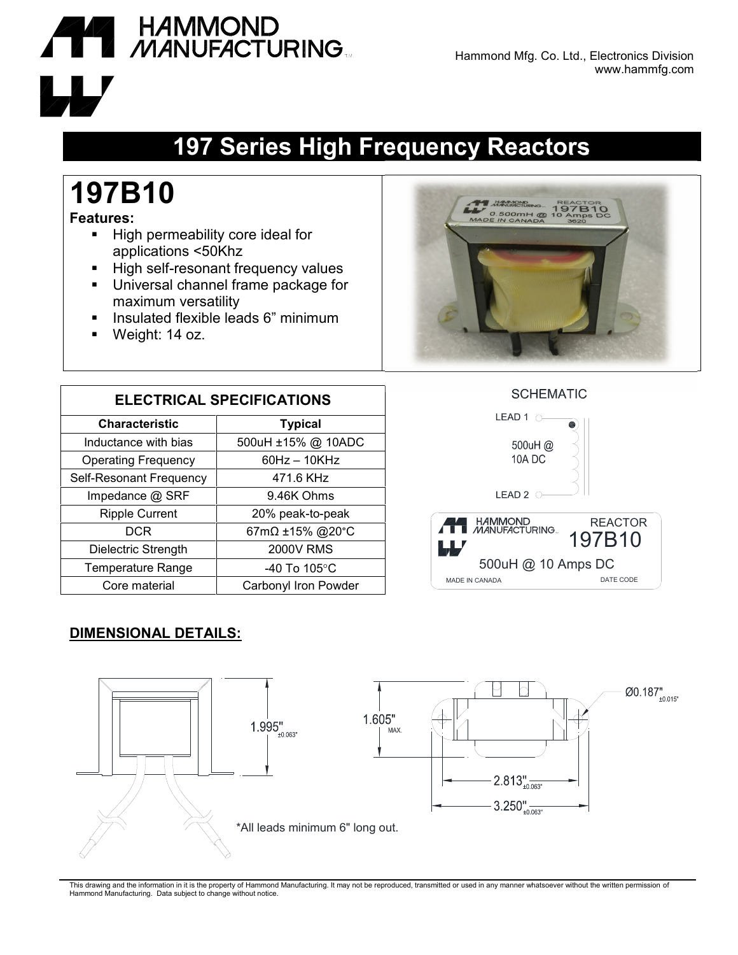

## **197 Series High Frequency Reactors**

# **197B10**

#### **Features:**

- **High permeability core ideal for** applications <50Khz
- High self-resonant frequency values
- **Universal channel frame package for** maximum versatility
- **Insulated flexible leads 6" minimum**
- Weight: 14 oz.



**ELECTRICAL SPECIFICATIONS Characteristic Typical** Inductance with bias  $\vert$  500uH ±15% @ 10ADC Operating Frequency 60Hz – 10KHz Self-Resonant Frequency | 471.6 KHz Impedance @ SRF | 9.46K Ohms Ripple Current 20% peak-to-peak DCR 67mΩ ±15% @20°C Dielectric Strength | 2000V RMS Temperature Range | 40 To 105°C Core material Carbonyl Iron Powder





### **DIMENSIONAL DETAILS:**



This drawing and the information in it is the property of Hammond Manufacturing. It may not be reproduced, transmitted or used in any manner whatsoever without the written permission of Hammond Manufacturing. Data subject to change without notice.